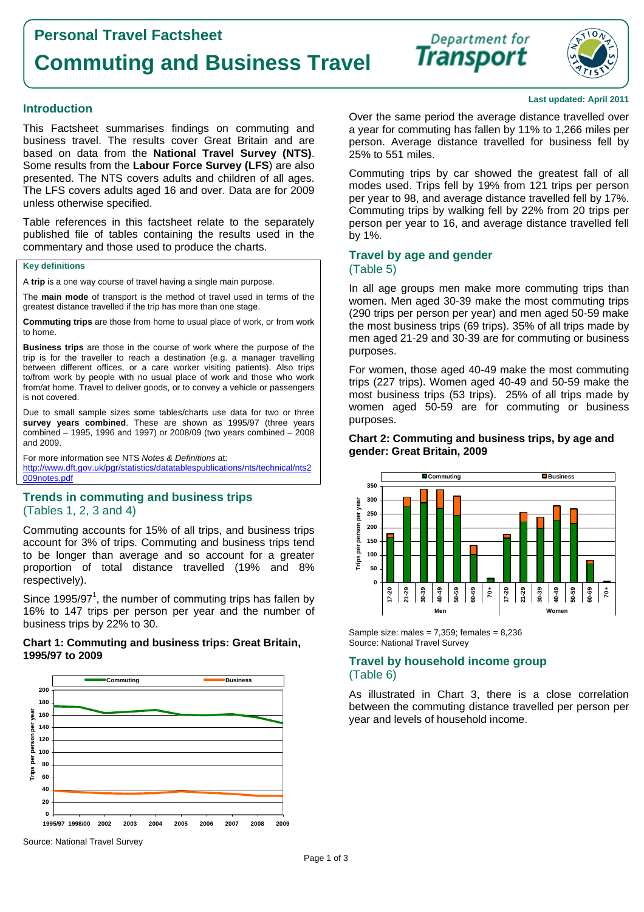## **Personal Travel Factsheet**

# **Commuting and Business Travel**

#### **Introduction**

This Factsheet summarises findings on commuting and business travel. The results cover Great Britain and are based on data from the **National Travel Survey (NTS)**. Some results from the **Labour Force Survey (LFS**) are also presented. The NTS covers adults and children of all ages. The LFS covers adults aged 16 and over. Data are for 2009 unless otherwise specified.

Table references in this factsheet relate to the separately published file of tables containing the results used in the commentary and those used to produce the charts.

#### **Key definitions**

A **trip** is a one way course of travel having a single main purpose.

The **main mode** of transport is the method of travel used in terms of the greatest distance travelled if the trip has more than one stage.

**Commuting trips** are those from home to usual place of work, or from work to home.

**Business trips** are those in the course of work where the purpose of the trip is for the traveller to reach a destination (e.g. a manager travelling between different offices, or a care worker visiting patients). Also trips to/from work by people with no usual place of work and those who work from/at home. Travel to deliver goods, or to convey a vehicle or passengers is not covered.

Due to small sample sizes some tables/charts use data for two or three **survey years combined**. These are shown as 1995/97 (three years combined – 1995, 1996 and 1997) or 2008/09 (two years combined – 2008 and 2009.

For more information see NTS *Notes & Definitions* at:

[http://www.dft.gov.uk/pgr/statistics/datatablespublications/nts/technical/nts2](http://www.dft.gov.uk/pgr/statistics/datatablespublications/nts/technical/nts2009notes.pdf) [009notes.pdf](http://www.dft.gov.uk/pgr/statistics/datatablespublications/nts/technical/nts2009notes.pdf)

## **Trends in commuting and business trips**  (Tables 1, 2, 3 and 4)

Commuting accounts for 15% of all trips, and business trips account for 3% of trips. Commuting and business trips tend to be longer than average and so account for a greater proportion of total distance travelled (19% and 8% respectively).

Since 1995/97<sup>1</sup>, the number of commuting trips has fallen by 16% to 147 trips per person per year and the number of business trips by 22% to 30.

#### **Chart 1: Commuting and business trips: Great Britain, 1995/97 to 2009**





Commuting trips by car showed the greatest fall of all modes used. Trips fell by 19% from 121 trips per person per year to 98, and average distance travelled fell by 17%. Commuting trips by walking fell by 22% from 20 trips per person per year to 16, and average distance travelled fell by 1%.

## **Travel by age and gender**  (Table 5)

In all age groups men make more commuting trips than women. Men aged 30-39 make the most commuting trips (290 trips per person per year) and men aged 50-59 make the most business trips (69 trips). 35% of all trips made by men aged 21-29 and 30-39 are for commuting or business purposes.

For women, those aged 40-49 make the most commuting trips (227 trips). Women aged 40-49 and 50-59 make the most business trips (53 trips). 25% of all trips made by women aged 50-59 are for commuting or business purposes.

#### **Chart 2: Commuting and business trips, by age and gender: Great Britain, 2009**



Sample size: males =  $7,359$ ; females =  $8,236$ Source: National Travel Survey

Page 1 of 3

## **Travel by household income group**  (Table 6)

As illustrated in Chart 3, there is a close correlation between the commuting distance travelled per person per year and levels of household income.



**Department** for



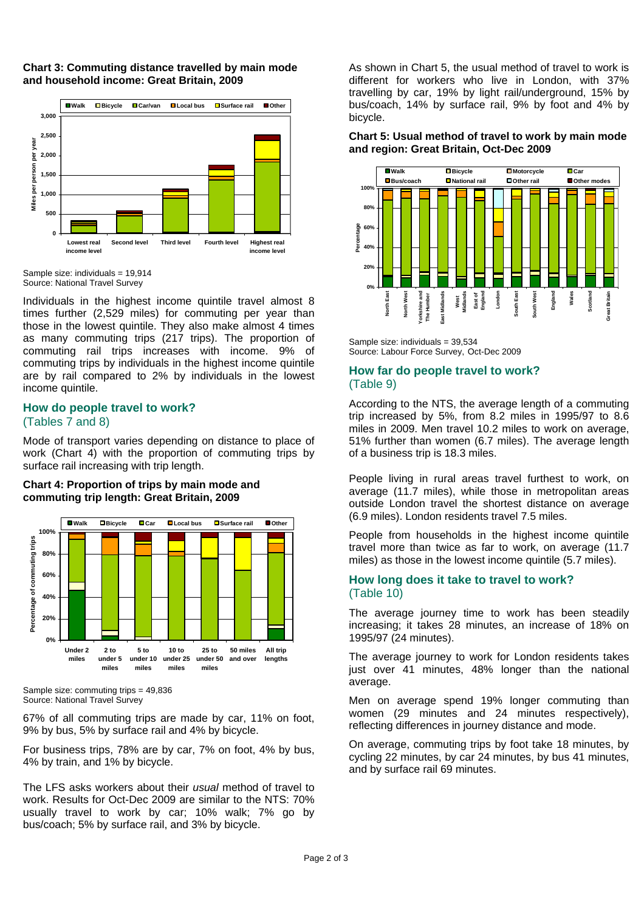

## **Chart 3: Commuting distance travelled by main mode and household income: Great Britain, 2009**

Sample size: individuals = 19,914 Source: National Travel Survey

Individuals in the highest income quintile travel almost 8 times further (2,529 miles) for commuting per year than those in the lowest quintile. They also make almost 4 times as many commuting trips (217 trips). The proportion of commuting rail trips increases with income. 9% of commuting trips by individuals in the highest income quintile are by rail compared to 2% by individuals in the lowest income quintile.

## **How do people travel to work?**  (Tables 7 and 8)

Mode of transport varies depending on distance to place of work (Chart 4) with the proportion of commuting trips by surface rail increasing with trip length.



#### **Chart 4: Proportion of trips by main mode and commuting trip length: Great Britain, 2009**

Sample size: commuting trips = 49,836 Source: National Travel Survey

67% of all commuting trips are made by car, 11% on foot, 9% by bus, 5% by surface rail and 4% by bicycle.

For business trips, 78% are by car, 7% on foot, 4% by bus, 4% by train, and 1% by bicycle.

The LFS asks workers about their *usual* method of travel to work. Results for Oct-Dec 2009 are similar to the NTS: 70% usually travel to work by car; 10% walk; 7% go by bus/coach; 5% by surface rail, and 3% by bicycle.

As shown in Chart 5, the usual method of travel to work is different for workers who live in London, with 37% travelling by car, 19% by light rail/underground, 15% by bus/coach, 14% by surface rail, 9% by foot and 4% by bicycle.

#### **Chart 5: Usual method of travel to work by main mode and region: Great Britain, Oct-Dec 2009**



Sample size: individuals = 39,534 Source: Labour Force Survey, Oct-Dec 2009

## **How far do people travel to work?**  (Table 9)

According to the NTS, the average length of a commuting trip increased by 5%, from 8.2 miles in 1995/97 to 8.6 miles in 2009. Men travel 10.2 miles to work on average, 51% further than women (6.7 miles). The average length of a business trip is 18.3 miles.

People living in rural areas travel furthest to work, on average (11.7 miles), while those in metropolitan areas outside London travel the shortest distance on average (6.9 miles). London residents travel 7.5 miles.

People from households in the highest income quintile travel more than twice as far to work, on average (11.7 miles) as those in the lowest income quintile (5.7 miles).

## **How long does it take to travel to work?**  (Table 10)

The average journey time to work has been steadily increasing; it takes 28 minutes, an increase of 18% on 1995/97 (24 minutes).

The average journey to work for London residents takes just over 41 minutes, 48% longer than the national average.

Men on average spend 19% longer commuting than women (29 minutes and 24 minutes respectively), reflecting differences in journey distance and mode.

On average, commuting trips by foot take 18 minutes, by cycling 22 minutes, by car 24 minutes, by bus 41 minutes, and by surface rail 69 minutes.